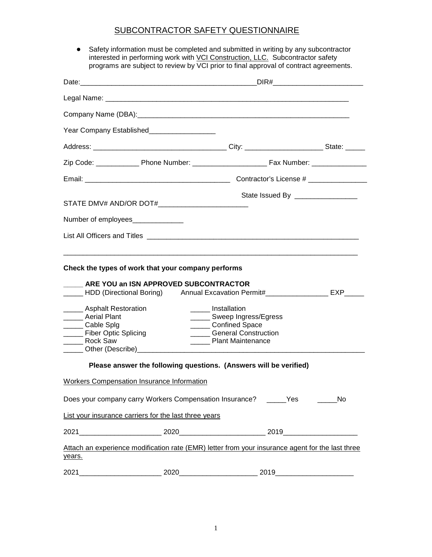## SUBCONTRACTOR SAFETY QUESTIONNAIRE

● Safety information must be completed and submitted in writing by any subcontractor interested in performing work with <u>VCI Construction, LLC.</u> Subcontractor safety programs are subject to review by VCI prior to final approval of contract agreements.

|                                                                                                                                              | Year Company Established___________________           |                                                                                                                                                                                                                  |    |  |
|----------------------------------------------------------------------------------------------------------------------------------------------|-------------------------------------------------------|------------------------------------------------------------------------------------------------------------------------------------------------------------------------------------------------------------------|----|--|
|                                                                                                                                              |                                                       |                                                                                                                                                                                                                  |    |  |
|                                                                                                                                              |                                                       |                                                                                                                                                                                                                  |    |  |
|                                                                                                                                              |                                                       |                                                                                                                                                                                                                  |    |  |
|                                                                                                                                              | STATE DMV# AND/OR DOT#___________________________     | State Issued By _________________                                                                                                                                                                                |    |  |
|                                                                                                                                              | Number of employees                                   |                                                                                                                                                                                                                  |    |  |
|                                                                                                                                              |                                                       |                                                                                                                                                                                                                  |    |  |
| Asphalt Restoration<br><b>Aerial Plant</b><br>____ Cable Splg<br>____ Fiber Optic Splicing<br><b>Rock Saw</b><br>____ Other (Describe)______ | ARE YOU an ISN APPROVED SUBCONTRACTOR                 | HDD (Directional Boring) Annual Excavation Permit#__________________ EXP____<br>______ Installation<br>______ Sweep Ingress/Egress<br>_______ Confined Space<br><b>General Construction</b><br>Plant Maintenance |    |  |
|                                                                                                                                              |                                                       | Please answer the following questions. (Answers will be verified)                                                                                                                                                |    |  |
|                                                                                                                                              | <b>Workers Compensation Insurance Information</b>     |                                                                                                                                                                                                                  |    |  |
|                                                                                                                                              |                                                       | Does your company carry Workers Compensation Insurance? ______Yes _______                                                                                                                                        | No |  |
|                                                                                                                                              | List your insurance carriers for the last three years |                                                                                                                                                                                                                  |    |  |
|                                                                                                                                              |                                                       |                                                                                                                                                                                                                  |    |  |
| years.                                                                                                                                       |                                                       | Attach an experience modification rate (EMR) letter from your insurance agent for the last three                                                                                                                 |    |  |
|                                                                                                                                              |                                                       |                                                                                                                                                                                                                  |    |  |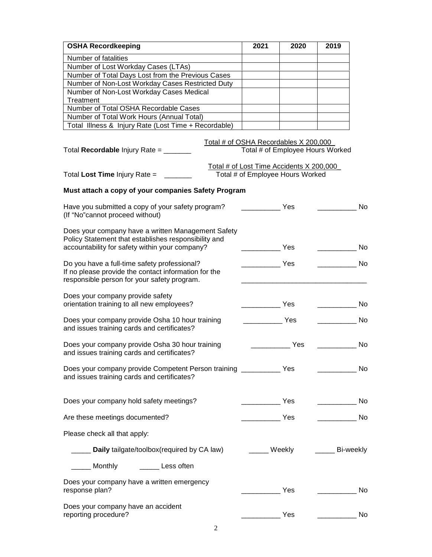| <b>OSHA Recordkeeping</b>                                                            | 2021                                                                                                                  | 2020 | 2019                          |     |
|--------------------------------------------------------------------------------------|-----------------------------------------------------------------------------------------------------------------------|------|-------------------------------|-----|
| Number of fatalities                                                                 |                                                                                                                       |      |                               |     |
| Number of Lost Workday Cases (LTAs)                                                  |                                                                                                                       |      |                               |     |
| Number of Total Days Lost from the Previous Cases                                    |                                                                                                                       |      |                               |     |
| Number of Non-Lost Workday Cases Restricted Duty                                     |                                                                                                                       |      |                               |     |
| Number of Non-Lost Workday Cases Medical                                             |                                                                                                                       |      |                               |     |
| Treatment                                                                            |                                                                                                                       |      |                               |     |
| Number of Total OSHA Recordable Cases                                                |                                                                                                                       |      |                               |     |
| Number of Total Work Hours (Annual Total)                                            |                                                                                                                       |      |                               |     |
| Total Illness & Injury Rate (Lost Time + Recordable)                                 |                                                                                                                       |      |                               |     |
| Total Recordable Injury Rate = ______                                                | Total # of OSHA Recordables X 200,000<br>Total # of Employee Hours Worked<br>Total # of Lost Time Accidents X 200,000 |      |                               |     |
| Total Lost Time Injury Rate $=$                                                      | Total # of Employee Hours Worked                                                                                      |      |                               |     |
| Must attach a copy of your companies Safety Program                                  |                                                                                                                       |      |                               |     |
| Have you submitted a copy of your safety program?<br>(If "No"cannot proceed without) |                                                                                                                       | Yes  |                               | No  |
| Does your company have a written Management Safety                                   |                                                                                                                       |      |                               |     |
| Policy Statement that establishes responsibility and                                 |                                                                                                                       |      |                               |     |
| accountability for safety within your company?                                       |                                                                                                                       | Yes  |                               | No  |
|                                                                                      |                                                                                                                       |      |                               |     |
| Do you have a full-time safety professional?                                         |                                                                                                                       | Yes  |                               | No  |
| If no please provide the contact information for the                                 |                                                                                                                       |      |                               |     |
| responsible person for your safety program.                                          |                                                                                                                       |      |                               |     |
|                                                                                      |                                                                                                                       |      |                               |     |
| Does your company provide safety<br>orientation training to all new employees?       |                                                                                                                       | Yes  |                               | No  |
|                                                                                      |                                                                                                                       |      |                               |     |
| Does your company provide Osha 10 hour training                                      |                                                                                                                       | Yes  |                               | No  |
| and issues training cards and certificates?                                          |                                                                                                                       |      |                               |     |
|                                                                                      |                                                                                                                       |      |                               |     |
| Does your company provide Osha 30 hour training                                      |                                                                                                                       | Yes  |                               | No  |
| and issues training cards and certificates?                                          |                                                                                                                       |      |                               |     |
|                                                                                      |                                                                                                                       |      |                               |     |
| Does your company provide Competent Person training _____________ Yes                |                                                                                                                       |      |                               | No  |
| and issues training cards and certificates?                                          |                                                                                                                       |      |                               |     |
|                                                                                      |                                                                                                                       |      |                               |     |
|                                                                                      |                                                                                                                       |      |                               |     |
| Does your company hold safety meetings?                                              | $\overline{\phantom{a}}$ Yes                                                                                          |      | the control of the control of | No. |
|                                                                                      |                                                                                                                       |      |                               |     |
| Are these meetings documented?                                                       |                                                                                                                       |      |                               | No  |
|                                                                                      |                                                                                                                       |      |                               |     |
| Please check all that apply:                                                         |                                                                                                                       |      |                               |     |
|                                                                                      |                                                                                                                       |      |                               |     |
| Daily tailgate/toolbox(required by CA law)                                           | _____ Weekly                                                                                                          |      | ______ Bi-weekly              |     |
| _____ Monthly<br><b>Example 12</b> Less often                                        |                                                                                                                       |      |                               |     |
|                                                                                      |                                                                                                                       |      |                               |     |
| Does your company have a written emergency                                           |                                                                                                                       |      |                               |     |
| response plan?                                                                       |                                                                                                                       | Yes  |                               | No  |
|                                                                                      |                                                                                                                       |      |                               |     |
| Does your company have an accident                                                   |                                                                                                                       |      |                               |     |
| reporting procedure?                                                                 |                                                                                                                       | Yes  |                               | No  |
|                                                                                      |                                                                                                                       |      |                               |     |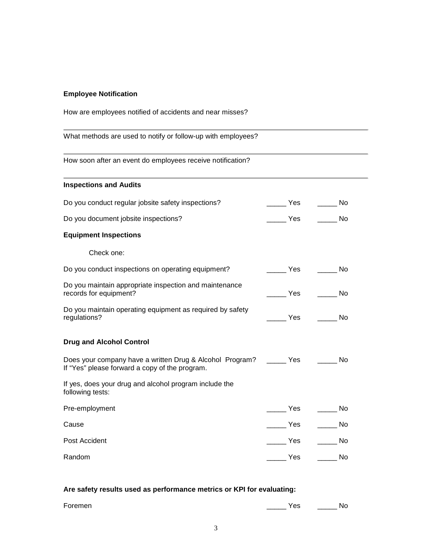## **Employee Notification**

How are employees notified of accidents and near misses?

What methods are used to notify or follow-up with employees?

How soon after an event do employees receive notification?

| <b>Inspections and Audits</b>                                                                                                |                          |                                                                                                                                                                                                                                                  |
|------------------------------------------------------------------------------------------------------------------------------|--------------------------|--------------------------------------------------------------------------------------------------------------------------------------------------------------------------------------------------------------------------------------------------|
| Do you conduct regular jobsite safety inspections?                                                                           |                          |                                                                                                                                                                                                                                                  |
| Do you document jobsite inspections?                                                                                         | $\rule{1em}{0.15mm}$ Yes | No                                                                                                                                                                                                                                               |
| <b>Equipment Inspections</b>                                                                                                 |                          |                                                                                                                                                                                                                                                  |
| Check one:                                                                                                                   |                          |                                                                                                                                                                                                                                                  |
| Do you conduct inspections on operating equipment?                                                                           | ______ Yes ______ No     |                                                                                                                                                                                                                                                  |
| Do you maintain appropriate inspection and maintenance<br>records for equipment?                                             | ______ Yes _______ No    |                                                                                                                                                                                                                                                  |
| Do you maintain operating equipment as required by safety<br>regulations?                                                    |                          | <b>Yes</b> and the matrix of the matrix of the matrix of the matrix of the matrix of the matrix of the matrix of the matrix of the matrix of the matrix of the matrix of the matrix of the matrix of the matrix of the matrix of th<br><b>No</b> |
| <b>Drug and Alcohol Control</b>                                                                                              |                          |                                                                                                                                                                                                                                                  |
| Does your company have a written Drug & Alcohol Program? ______ Yes ______<br>If "Yes" please forward a copy of the program. |                          | No.                                                                                                                                                                                                                                              |
| If yes, does your drug and alcohol program include the<br>following tests:                                                   |                          |                                                                                                                                                                                                                                                  |
| Pre-employment                                                                                                               |                          | <b>No</b>                                                                                                                                                                                                                                        |
| Cause                                                                                                                        | $\rule{1em}{0.15mm}$ Yes | $\rule{1em}{0.15mm}$ No                                                                                                                                                                                                                          |
| Post Accident                                                                                                                | <b>Example ST</b>        | $\frac{1}{2}$ No                                                                                                                                                                                                                                 |
| Random                                                                                                                       | _____ Yes                | a No                                                                                                                                                                                                                                             |

## **Are safety results used as performance metrics or KPI for evaluating:**

| $\sim$<br>Foremen<br>_____ | റ<br>--<br>ິ | N |
|----------------------------|--------------|---|
|                            |              |   |